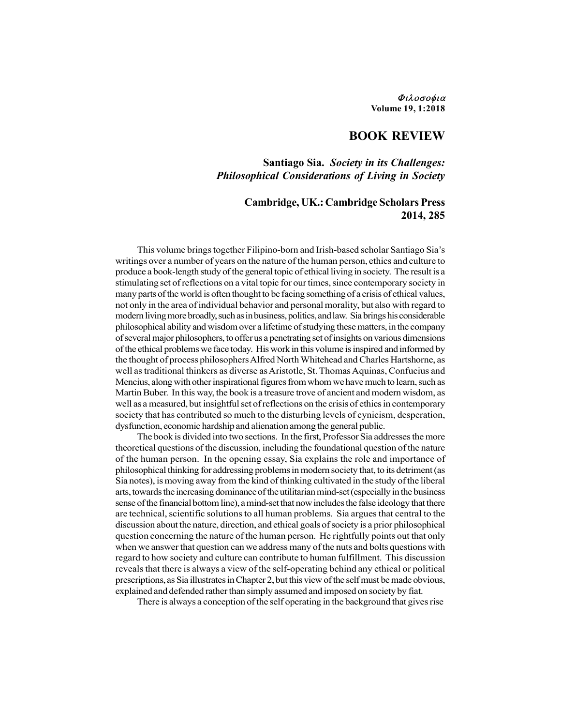#### Φιλοσοφια Volume 19, 1:2018

# BOOK REVIEW

### Santiago Sia. Society in its Challenges: Philosophical Considerations of Living in Society

# Cambridge, UK.: Cambridge Scholars Press 2014, 285

This volume brings together Filipino-born and Irish-based scholar Santiago Sia's writings over a number of years on the nature of the human person, ethics and culture to produce a book-length study of the general topic of ethical living in society. The result is a stimulating set of reflections on a vital topic for our times, since contemporary society in many parts of the world is often thought to be facing something of a crisis of ethical values, not only in the area of individual behavior and personal morality, but also with regard to modern living more broadly, such as in business, politics, and law. Sia brings his considerable philosophical ability and wisdom over a lifetime of studying these matters, in the company of several major philosophers, to offer us a penetrating set of insights on various dimensions of the ethical problems we face today. His work in this volume is inspired and informed by the thought of process philosophers Alfred North Whitehead and Charles Hartshorne, as well as traditional thinkers as diverse as Aristotle, St. Thomas Aquinas, Confucius and Mencius, along with other inspirational figures from whom we have much to learn, such as Martin Buber. In this way, the book is a treasure trove of ancient and modern wisdom, as well as a measured, but insightful set of reflections on the crisis of ethics in contemporary society that has contributed so much to the disturbing levels of cynicism, desperation, dysfunction, economic hardship and alienation among the general public.

The book is divided into two sections. In the first, Professor Sia addresses the more theoretical questions of the discussion, including the foundational question of the nature of the human person. In the opening essay, Sia explains the role and importance of philosophical thinking for addressing problems in modern society that, to its detriment (as Sia notes), is moving away from the kind of thinking cultivated in the study of the liberal arts, towards the increasing dominance of the utilitarian mind-set (especially in the business sense of the financial bottom line), a mind-set that now includes the false ideology that there are technical, scientific solutions to all human problems. Sia argues that central to the discussion about the nature, direction, and ethical goals of society is a prior philosophical question concerning the nature of the human person. He rightfully points out that only when we answer that question can we address many of the nuts and bolts questions with regard to how society and culture can contribute to human fulfillment. This discussion reveals that there is always a view of the self-operating behind any ethical or political prescriptions, as Sia illustrates in Chapter 2, but this view of the self must be made obvious, explained and defended rather than simply assumed and imposed on society by fiat.

There is always a conception of the self operating in the background that gives rise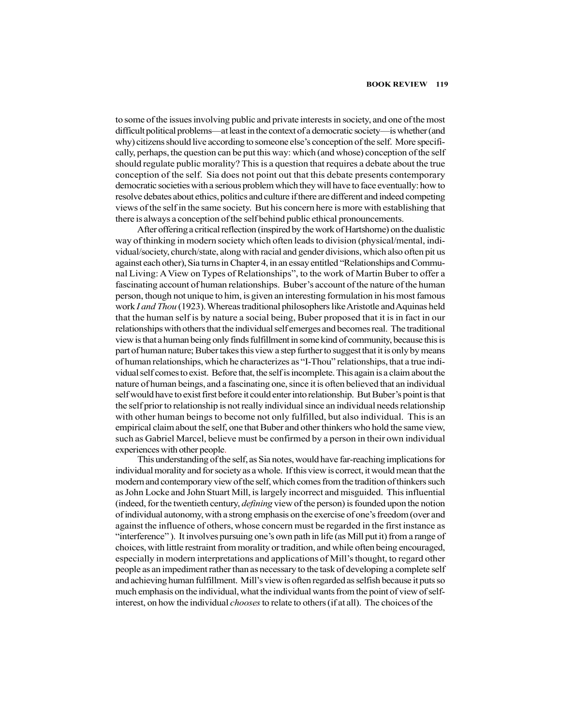to some of the issues involving public and private interests in society, and one of the most difficult political problems—at least in the context of a democratic society—is whether (and why) citizens should live according to someone else's conception of the self. More specifically, perhaps, the question can be put this way: which (and whose) conception of the self should regulate public morality? This is a question that requires a debate about the true conception of the self. Sia does not point out that this debate presents contemporary democratic societies with a serious problem which they will have to face eventually: how to resolve debates about ethics, politics and culture if there are different and indeed competing views of the self in the same society. But his concern here is more with establishing that there is always a conception of the self behind public ethical pronouncements.

After offering a critical reflection (inspired by the work of Hartshorne) on the dualistic way of thinking in modern society which often leads to division (physical/mental, individual/society, church/state, along with racial and gender divisions, which also often pit us against each other), Sia turns in Chapter 4, in an essay entitled "Relationships and Communal Living: A View on Types of Relationships", to the work of Martin Buber to offer a fascinating account of human relationships. Buber's account of the nature of the human person, though not unique to him, is given an interesting formulation in his most famous work I and Thou (1923). Whereas traditional philosophers like Aristotle and Aquinas held that the human self is by nature a social being, Buber proposed that it is in fact in our relationships with others that the individual self emerges and becomes real. The traditional view is that a human being only finds fulfillment in some kind of community, because this is part of human nature; Buber takes this view a step further to suggest that it is only by means of human relationships, which he characterizes as "I-Thou" relationships, that a true individual self comes to exist. Before that, the self is incomplete. This again is a claim about the nature of human beings, and a fascinating one, since it is often believed that an individual self would have to exist first before it could enter into relationship. But Buber's point is that the self prior to relationship is not really individual since an individual needs relationship with other human beings to become not only fulfilled, but also individual. This is an empirical claim about the self, one that Buber and other thinkers who hold the same view, such as Gabriel Marcel, believe must be confirmed by a person in their own individual experiences with other people. This understanding of the self, as Sia notes, would have far-reaching implications for

individual morality and for society as a whole. If this view is correct, it would mean that the modern and contemporary view of the self, which comes from the tradition of thinkers such as John Locke and John Stuart Mill, is largely incorrect and misguided. This influential (indeed, for the twentieth century, *defining* view of the person) is founded upon the notion of individual autonomy, with a strong emphasis on the exercise of one's freedom (over and against the influence of others, whose concern must be regarded in the first instance as "interference" ). It involves pursuing one's own path in life (as Mill put it) from a range of choices, with little restraint from morality or tradition, and while often being encouraged, especially in modern interpretations and applications of Mill's thought, to regard other people as an impediment rather than as necessary to the task of developing a complete self and achieving human fulfillment. Mill's view is often regarded as selfish because it puts so much emphasis on the individual, what the individual wants from the point of view of selfinterest, on how the individual chooses to relate to others (if at all). The choices of the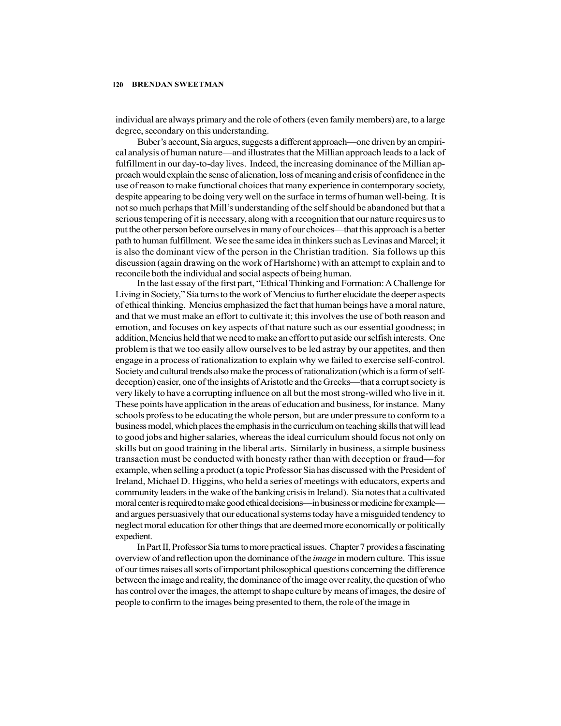#### 120 BRENDAN SWEETMAN

individual are always primary and the role of others (even family members) are, to a large degree, secondary on this understanding.

Buber's account, Sia argues, suggests a different approach—one driven by an empirical analysis of human nature—and illustrates that the Millian approach leads to a lack of fulfillment in our day-to-day lives. Indeed, the increasing dominance of the Millian approach would explain the sense of alienation, loss of meaning and crisis of confidence in the use of reason to make functional choices that many experience in contemporary society, despite appearing to be doing very well on the surface in terms of human well-being. It is not so much perhaps that Mill's understanding of the self should be abandoned but that a serious tempering of it is necessary, along with a recognition that our nature requires us to put the other person before ourselves in many of our choices—that this approach is a better path to human fulfillment. We see the same idea in thinkers such as Levinas and Marcel; it is also the dominant view of the person in the Christian tradition. Sia follows up this discussion (again drawing on the work of Hartshorne) with an attempt to explain and to reconcile both the individual and social aspects of being human.

In the last essay of the first part, "Ethical Thinking and Formation: A Challenge for Living in Society," Sia turns to the work of Mencius to further elucidate the deeper aspects of ethical thinking. Mencius emphasized the fact that human beings have a moral nature, and that we must make an effort to cultivate it; this involves the use of both reason and emotion, and focuses on key aspects of that nature such as our essential goodness; in addition, Mencius held that we need to make an effort to put aside our selfish interests. One problem is that we too easily allow ourselves to be led astray by our appetites, and then engage in a process of rationalization to explain why we failed to exercise self-control. Society and cultural trends also make the process of rationalization (which is a form of selfdeception) easier, one of the insights of Aristotle and the Greeks—that a corrupt society is very likely to have a corrupting influence on all but the most strong-willed who live in it. These points have application in the areas of education and business, for instance. Many schools profess to be educating the whole person, but are under pressure to conform to a business model, which places the emphasis in the curriculum on teaching skills that will lead to good jobs and higher salaries, whereas the ideal curriculum should focus not only on skills but on good training in the liberal arts. Similarly in business, a simple business transaction must be conducted with honesty rather than with deception or fraud—for example, when selling a product (a topic Professor Sia has discussed with the President of Ireland, Michael D. Higgins, who held a series of meetings with educators, experts and community leaders in the wake of the banking crisis in Ireland). Sia notes that a cultivated moral center is required to make good ethical decisions—in business or medicine for example and argues persuasively that our educational systems today have a misguided tendency to neglect moral education for other things that are deemed more economically or politically expedient.

In Part II, Professor Sia turns to more practical issues. Chapter 7 provides a fascinating overview of and reflection upon the dominance of the *image* in modern culture. This issue of our times raises all sorts of important philosophical questions concerning the difference between the image and reality, the dominance of the image over reality, the question of who has control over the images, the attempt to shape culture by means of images, the desire of people to confirm to the images being presented to them, the role of the image in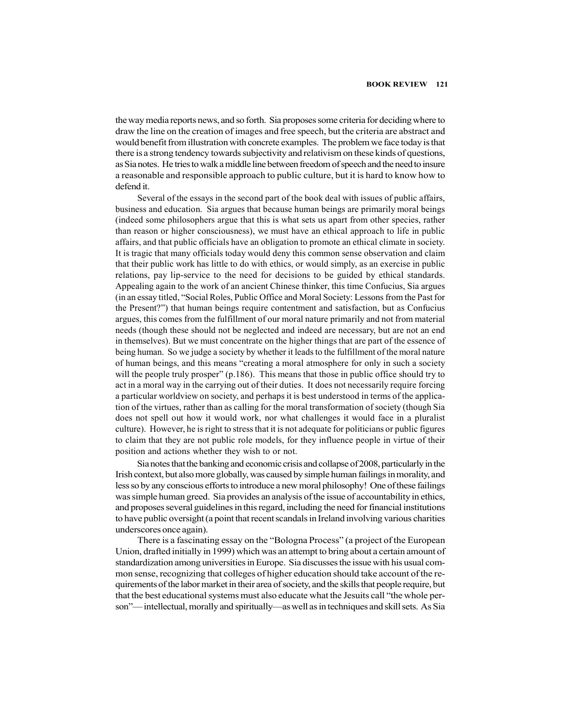the way media reports news, and so forth. Sia proposes some criteria for deciding where to draw the line on the creation of images and free speech, but the criteria are abstract and would benefit from illustration with concrete examples. The problem we face today is that there is a strong tendency towards subjectivity and relativism on these kinds of questions, as Sia notes. He tries to walk a middle line between freedom of speech and the need to insure a reasonable and responsible approach to public culture, but it is hard to know how to defend it.

Several of the essays in the second part of the book deal with issues of public affairs, business and education. Sia argues that because human beings are primarily moral beings (indeed some philosophers argue that this is what sets us apart from other species, rather than reason or higher consciousness), we must have an ethical approach to life in public affairs, and that public officials have an obligation to promote an ethical climate in society. It is tragic that many officials today would deny this common sense observation and claim that their public work has little to do with ethics, or would simply, as an exercise in public relations, pay lip-service to the need for decisions to be guided by ethical standards. Appealing again to the work of an ancient Chinese thinker, this time Confucius, Sia argues (in an essay titled, "Social Roles, Public Office and Moral Society: Lessons from the Past for the Present?") that human beings require contentment and satisfaction, but as Confucius argues, this comes from the fulfillment of our moral nature primarily and not from material needs (though these should not be neglected and indeed are necessary, but are not an end in themselves). But we must concentrate on the higher things that are part of the essence of being human. So we judge a society by whether it leads to the fulfillment of the moral nature of human beings, and this means "creating a moral atmosphere for only in such a society will the people truly prosper" (p.186). This means that those in public office should try to act in a moral way in the carrying out of their duties. It does not necessarily require forcing a particular worldview on society, and perhaps it is best understood in terms of the application of the virtues, rather than as calling for the moral transformation of society (though Sia does not spell out how it would work, nor what challenges it would face in a pluralist culture). However, he is right to stress that it is not adequate for politicians or public figures to claim that they are not public role models, for they influence people in virtue of their position and actions whether they wish to or not.

Sia notes that the banking and economic crisis and collapse of 2008, particularly in the Irish context, but also more globally, was caused by simple human failings in morality, and less so by any conscious efforts to introduce a new moral philosophy! One of these failings was simple human greed. Sia provides an analysis of the issue of accountability in ethics, and proposes several guidelines in this regard, including the need for financial institutions to have public oversight (a point that recent scandals in Ireland involving various charities underscores once again).

There is a fascinating essay on the "Bologna Process" (a project of the European Union, drafted initially in 1999) which was an attempt to bring about a certain amount of standardization among universities in Europe. Sia discusses the issue with his usual common sense, recognizing that colleges of higher education should take account of the requirements of the labor market in their area of society, and the skills that people require, but that the best educational systems must also educate what the Jesuits call "the whole person"— intellectual, morally and spiritually—as well as in techniques and skill sets. As Sia